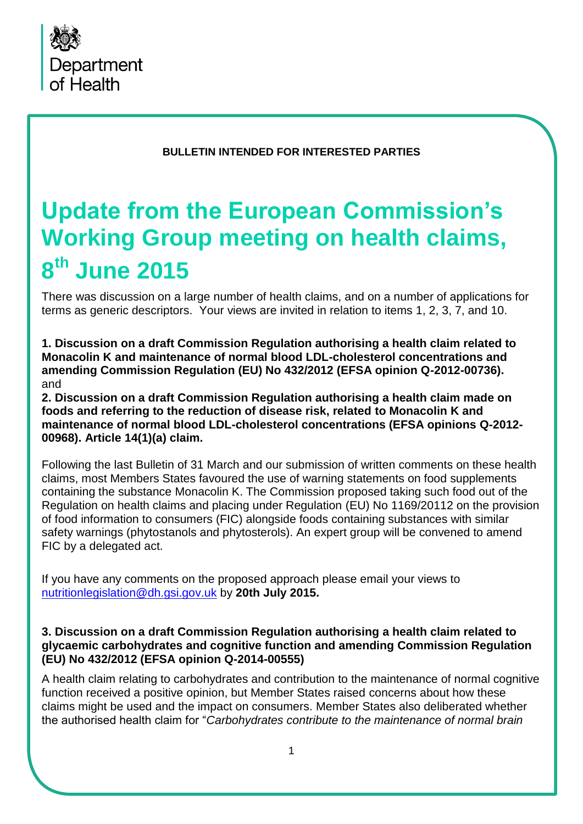

**BULLETIN INTENDED FOR INTERESTED PARTIES** 

# **Update from the European Commission's Working Group meeting on health claims, 8 th June 2015**

There was discussion on a large number of health claims, and on a number of applications for terms as generic descriptors. Your views are invited in relation to items 1, 2, 3, 7, and 10.

**1. Discussion on a draft Commission Regulation authorising a health claim related to Monacolin K and maintenance of normal blood LDL-cholesterol concentrations and amending Commission Regulation (EU) No 432/2012 (EFSA opinion Q-2012-00736).**  and

**2. Discussion on a draft Commission Regulation authorising a health claim made on foods and referring to the reduction of disease risk, related to Monacolin K and maintenance of normal blood LDL-cholesterol concentrations (EFSA opinions Q-2012- 00968). Article 14(1)(a) claim.**

Following the last Bulletin of 31 March and our submission of written comments on these health claims, most Members States favoured the use of warning statements on food supplements containing the substance Monacolin K. The Commission proposed taking such food out of the Regulation on health claims and placing under Regulation (EU) No 1169/20112 on the provision of food information to consumers (FIC) alongside foods containing substances with similar safety warnings (phytostanols and phytosterols). An expert group will be convened to amend FIC by a delegated act.

If you have any comments on the proposed approach please email your views to [nutritionlegislation@dh.gsi.gov.uk](mailto:nutritionlegislation@dh.gsi.gov.uk) by **20th July 2015.** 

#### **3. Discussion on a draft Commission Regulation authorising a health claim related to glycaemic carbohydrates and cognitive function and amending Commission Regulation (EU) No 432/2012 (EFSA opinion Q-2014-00555)**

A health claim relating to carbohydrates and contribution to the maintenance of normal cognitive function received a positive opinion, but Member States raised concerns about how these claims might be used and the impact on consumers. Member States also deliberated whether the authorised health claim for "*Carbohydrates contribute to the maintenance of normal brain*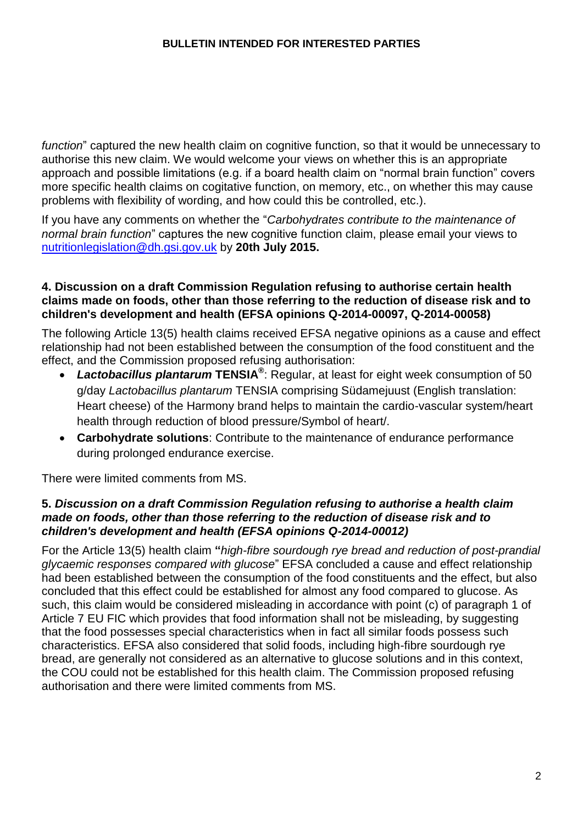*function*" captured the new health claim on cognitive function, so that it would be unnecessary to authorise this new claim. We would welcome your views on whether this is an appropriate approach and possible limitations (e.g. if a board health claim on "normal brain function" covers more specific health claims on cogitative function, on memory, etc., on whether this may cause problems with flexibility of wording, and how could this be controlled, etc.).

If you have any comments on whether the "*Carbohydrates contribute to the maintenance of normal brain function*" captures the new cognitive function claim, please email your views to [nutritionlegislation@dh.gsi.gov.uk](mailto:nutritionlegislation@dh.gsi.gov.uk) by **20th July 2015.** 

#### **4. Discussion on a draft Commission Regulation refusing to authorise certain health claims made on foods, other than those referring to the reduction of disease risk and to children's development and health (EFSA opinions Q-2014-00097, Q-2014-00058)**

The following Article 13(5) health claims received EFSA negative opinions as a cause and effect relationship had not been established between the consumption of the food constituent and the effect, and the Commission proposed refusing authorisation:

- *Lactobacillus plantarum* **TENSIA®** : Regular, at least for eight week consumption of 50 g/day *Lactobacillus plantarum* TENSIA comprising Südamejuust (English translation: Heart cheese) of the Harmony brand helps to maintain the cardio-vascular system/heart health through reduction of blood pressure/Symbol of heart/.
- **Carbohydrate solutions**: Contribute to the maintenance of endurance performance during prolonged endurance exercise.

There were limited comments from MS.

# **5.** *Discussion on a draft Commission Regulation refusing to authorise a health claim made on foods, other than those referring to the reduction of disease risk and to children's development and health (EFSA opinions Q-2014-00012)*

For the Article 13(5) health claim **"***high-fibre sourdough rye bread and reduction of post-prandial glycaemic responses compared with glucose*" EFSA concluded a cause and effect relationship had been established between the consumption of the food constituents and the effect, but also concluded that this effect could be established for almost any food compared to glucose. As such, this claim would be considered misleading in accordance with point (c) of paragraph 1 of Article 7 EU FIC which provides that food information shall not be misleading, by suggesting that the food possesses special characteristics when in fact all similar foods possess such characteristics. EFSA also considered that solid foods, including high-fibre sourdough rye bread, are generally not considered as an alternative to glucose solutions and in this context, the COU could not be established for this health claim. The Commission proposed refusing authorisation and there were limited comments from MS.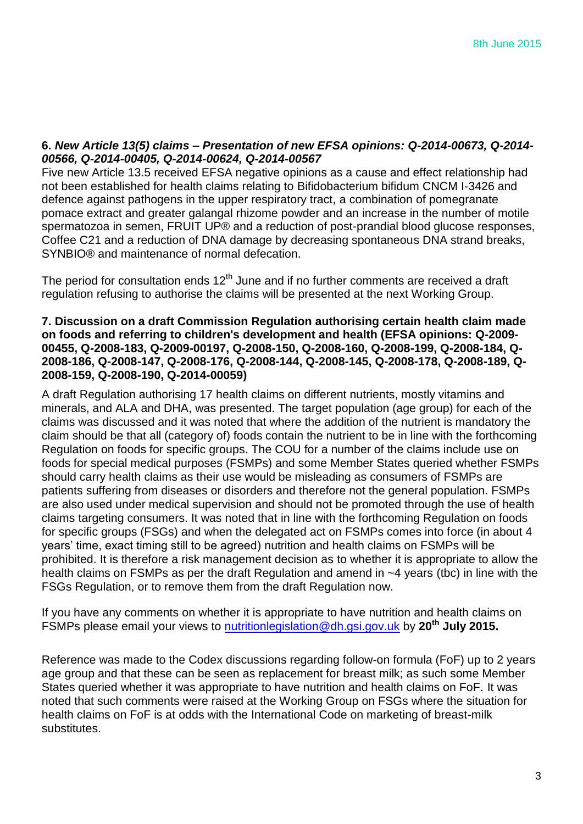#### **6.** *New Article 13(5) claims – Presentation of new EFSA opinions: Q-2014-00673, Q-2014- 00566, Q-2014-00405, Q-2014-00624, Q-2014-00567*

Five new Article 13.5 received EFSA negative opinions as a cause and effect relationship had not been established for health claims relating to Bifidobacterium bifidum CNCM I-3426 and defence against pathogens in the upper respiratory tract, a combination of pomegranate pomace extract and greater galangal rhizome powder and an increase in the number of motile spermatozoa in semen, FRUIT UP® and a reduction of post-prandial blood glucose responses, Coffee C21 and a reduction of DNA damage by decreasing spontaneous DNA strand breaks, SYNBIO® and maintenance of normal defecation.

The period for consultation ends  $12<sup>th</sup>$  June and if no further comments are received a draft regulation refusing to authorise the claims will be presented at the next Working Group.

#### **7. Discussion on a draft Commission Regulation authorising certain health claim made on foods and referring to children's development and health (EFSA opinions: Q-2009- 00455, Q-2008-183, Q-2009-00197, Q-2008-150, Q-2008-160, Q-2008-199, Q-2008-184, Q-2008-186, Q-2008-147, Q-2008-176, Q-2008-144, Q-2008-145, Q-2008-178, Q-2008-189, Q-2008-159, Q-2008-190, Q-2014-00059)**

A draft Regulation authorising 17 health claims on different nutrients, mostly vitamins and minerals, and ALA and DHA, was presented. The target population (age group) for each of the claims was discussed and it was noted that where the addition of the nutrient is mandatory the claim should be that all (category of) foods contain the nutrient to be in line with the forthcoming Regulation on foods for specific groups. The COU for a number of the claims include use on foods for special medical purposes (FSMPs) and some Member States queried whether FSMPs should carry health claims as their use would be misleading as consumers of FSMPs are patients suffering from diseases or disorders and therefore not the general population. FSMPs are also used under medical supervision and should not be promoted through the use of health claims targeting consumers. It was noted that in line with the forthcoming Regulation on foods for specific groups (FSGs) and when the delegated act on FSMPs comes into force (in about 4 years' time, exact timing still to be agreed) nutrition and health claims on FSMPs will be prohibited. It is therefore a risk management decision as to whether it is appropriate to allow the health claims on FSMPs as per the draft Regulation and amend in ~4 years (tbc) in line with the FSGs Regulation, or to remove them from the draft Regulation now.

If you have any comments on whether it is appropriate to have nutrition and health claims on FSMPs please email your views to [nutritionlegislation@dh.gsi.gov.uk](mailto:nutritionlegislation@dh.gsi.gov.uk) by **20th July 2015.** 

Reference was made to the Codex discussions regarding follow-on formula (FoF) up to 2 years age group and that these can be seen as replacement for breast milk; as such some Member States queried whether it was appropriate to have nutrition and health claims on FoF. It was noted that such comments were raised at the Working Group on FSGs where the situation for health claims on FoF is at odds with the International Code on marketing of breast-milk substitutes.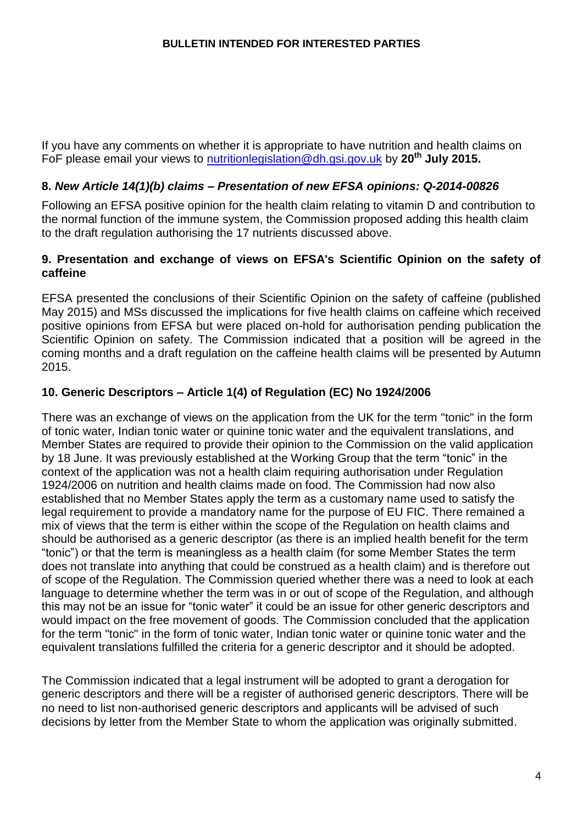If you have any comments on whether it is appropriate to have nutrition and health claims on FoF please email your views to [nutritionlegislation@dh.gsi.gov.uk](mailto:nutritionlegislation@dh.gsi.gov.uk) by **20th July 2015.** 

# **8.** *New Article 14(1)(b) claims – Presentation of new EFSA opinions: Q-2014-00826*

Following an EFSA positive opinion for the health claim relating to vitamin D and contribution to the normal function of the immune system, the Commission proposed adding this health claim to the draft regulation authorising the 17 nutrients discussed above.

### **9. Presentation and exchange of views on EFSA's Scientific Opinion on the safety of caffeine**

EFSA presented the conclusions of their Scientific Opinion on the safety of caffeine (published May 2015) and MSs discussed the implications for five health claims on caffeine which received positive opinions from EFSA but were placed on-hold for authorisation pending publication the Scientific Opinion on safety. The Commission indicated that a position will be agreed in the coming months and a draft regulation on the caffeine health claims will be presented by Autumn 2015.

# **10. Generic Descriptors – Article 1(4) of Regulation (EC) No 1924/2006**

There was an exchange of views on the application from the UK for the term "tonic" in the form of tonic water, Indian tonic water or quinine tonic water and the equivalent translations, and Member States are required to provide their opinion to the Commission on the valid application by 18 June. It was previously established at the Working Group that the term "tonic" in the context of the application was not a health claim requiring authorisation under Regulation 1924/2006 on nutrition and health claims made on food. The Commission had now also established that no Member States apply the term as a customary name used to satisfy the legal requirement to provide a mandatory name for the purpose of EU FIC. There remained a mix of views that the term is either within the scope of the Regulation on health claims and should be authorised as a generic descriptor (as there is an implied health benefit for the term "tonic") or that the term is meaningless as a health claim (for some Member States the term does not translate into anything that could be construed as a health claim) and is therefore out of scope of the Regulation. The Commission queried whether there was a need to look at each language to determine whether the term was in or out of scope of the Regulation, and although this may not be an issue for "tonic water" it could be an issue for other generic descriptors and would impact on the free movement of goods. The Commission concluded that the application for the term "tonic" in the form of tonic water, Indian tonic water or quinine tonic water and the equivalent translations fulfilled the criteria for a generic descriptor and it should be adopted.

The Commission indicated that a legal instrument will be adopted to grant a derogation for generic descriptors and there will be a register of authorised generic descriptors. There will be no need to list non-authorised generic descriptors and applicants will be advised of such decisions by letter from the Member State to whom the application was originally submitted.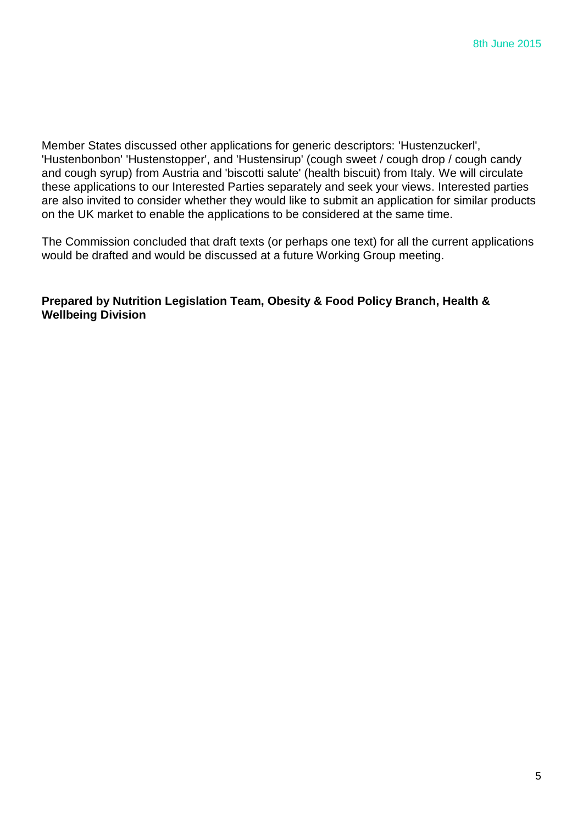Member States discussed other applications for generic descriptors: 'Hustenzuckerl', 'Hustenbonbon' 'Hustenstopper', and 'Hustensirup' (cough sweet / cough drop / cough candy and cough syrup) from Austria and 'biscotti salute' (health biscuit) from Italy. We will circulate these applications to our Interested Parties separately and seek your views. Interested parties are also invited to consider whether they would like to submit an application for similar products on the UK market to enable the applications to be considered at the same time.

The Commission concluded that draft texts (or perhaps one text) for all the current applications would be drafted and would be discussed at a future Working Group meeting.

#### **Prepared by Nutrition Legislation Team, Obesity & Food Policy Branch, Health & Wellbeing Division**